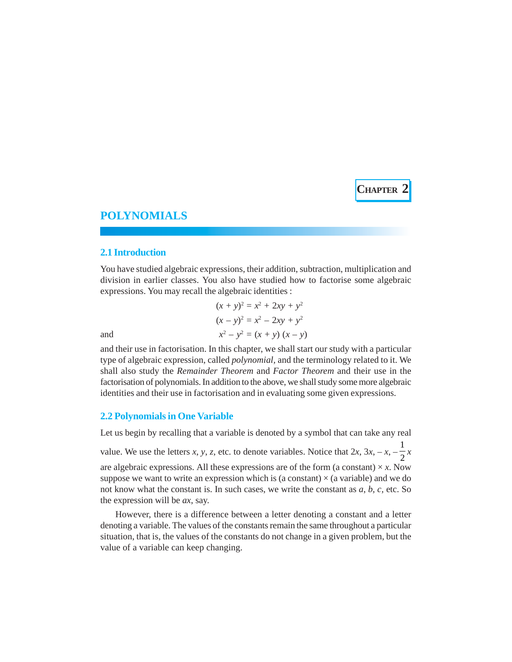**CHAPTER 2**

# **POLYNOMIALS**

# **2.1 Introduction**

You have studied algebraic expressions, their addition, subtraction, multiplication and division in earlier classes. You also have studied how to factorise some algebraic expressions. You may recall the algebraic identities :

$$
(x + y)2 = x2 + 2xy + y2
$$
  
(x - y)<sup>2</sup> = x<sup>2</sup> - 2xy + y<sup>2</sup>  
and  

$$
x2 - y2 = (x + y) (x - y)
$$

and their use in factorisation. In this chapter, we shall start our study with a particular type of algebraic expression, called *polynomial,* and the terminology related to it. We shall also study the *Remainder Theorem* and *Factor Theorem* and their use in the factorisation of polynomials. In addition to the above, we shall study some more algebraic identities and their use in factorisation and in evaluating some given expressions.

# **2.2 Polynomials in One Variable**

Let us begin by recalling that a variable is denoted by a symbol that can take any real

value. We use the letters *x*, *y*, *z*, etc. to denote variables. Notice that  $2x$ ,  $3x$ ,  $-x$ ,  $-\frac{1}{2}x$ are algebraic expressions. All these expressions are of the form (a constant)  $\times x$ . Now suppose we want to write an expression which is (a constant)  $\times$  (a variable) and we do not know what the constant is. In such cases, we write the constant as *a*, *b, c,* etc. So the expression will be *ax*, say.

However, there is a difference between a letter denoting a constant and a letter denoting a variable. The values of the constants remain the same throughout a particular situation, that is, the values of the constants do not change in a given problem, but the value of a variable can keep changing.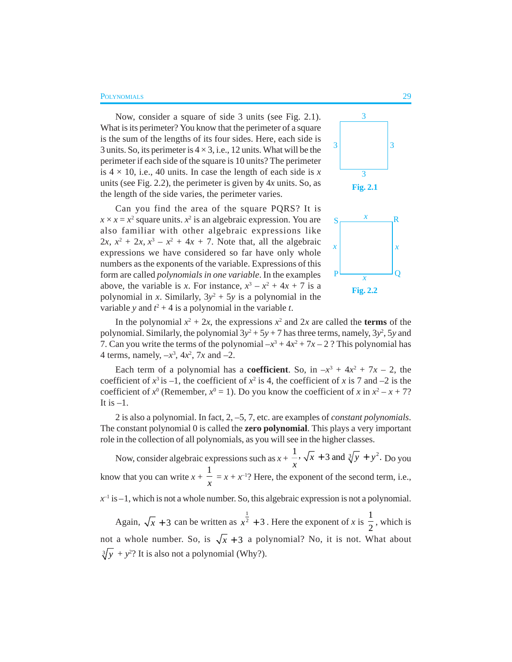#### POLYNOMIALS 29

Now, consider a square of side 3 units (see Fig. 2.1). What is its perimeter? You know that the perimeter of a square is the sum of the lengths of its four sides. Here, each side is 3 units. So, its perimeter is  $4 \times 3$ , i.e., 12 units. What will be the perimeter if each side of the square is 10 units? The perimeter is  $4 \times 10$ , i.e., 40 units. In case the length of each side is x units (see Fig. 2.2), the perimeter is given by 4*x* units. So, as the length of the side varies, the perimeter varies.

Can you find the area of the square PQRS? It is  $x \times x = x^2$  square units.  $x^2$  is an algebraic expression. You are also familiar with other algebraic expressions like 2*x*,  $x^2 + 2x$ ,  $x^3 - x^2 + 4x + 7$ . Note that, all the algebraic expressions we have considered so far have only whole numbers as the exponents of the variable. Expressions of this form are called *polynomials in one variable*. In the examples above, the variable is *x*. For instance,  $x^3 - x^2 + 4x + 7$  is a polynomial in *x*. Similarly,  $3y^2 + 5y$  is a polynomial in the variable *y* and  $t^2 + 4$  is a polynomial in the variable *t*.



In the polynomial  $x^2 + 2x$ , the expressions  $x^2$  and  $2x$  are called the **terms** of the polynomial. Similarly, the polynomial  $3y^2 + 5y + 7$  has three terms, namely,  $3y^2$ , 5*y* and 7. Can you write the terms of the polynomial  $-x^3 + 4x^2 + 7x - 2$ ? This polynomial has 4 terms, namely,  $-x^3$ ,  $4x^2$ ,  $7x$  and  $-2$ .

Each term of a polynomial has a **coefficient**. So, in  $-x^3 + 4x^2 + 7x - 2$ , the coefficient of  $x^3$  is  $-1$ , the coefficient of  $x^2$  is 4, the coefficient of x is 7 and  $-2$  is the coefficient of  $x^0$  (Remember,  $x^0 = 1$ ). Do you know the coefficient of x in  $x^2 - x + 7$ ? It is  $-1$ .

2 is also a polynomial. In fact, 2, –5, 7, etc. are examples of *constant polynomials*. The constant polynomial 0 is called the **zero polynomial**. This plays a very important role in the collection of all polynomials, as you will see in the higher classes.

Now, consider algebraic expressions such as  $x + \frac{1}{x}$ ,  $\sqrt{x} + 3$  and  $\sqrt[3]{y} + y^2$ . Do you know that you can write  $x +$ 1  $\frac{1}{x}$  = *x* + *x*<sup>-1</sup>? Here, the exponent of the second term, i.e.,  $x^{-1}$  is  $-1$ , which is not a whole number. So, this algebraic expression is not a polynomial.

Again,  $\sqrt{x} + 3$  can be written as 1  $x^2 + 3$ . Here the exponent of *x* is 1  $\frac{1}{2}$ , which is not a whole number. So, is  $\sqrt{x} + 3$  a polynomial? No, it is not. What about  $\sqrt[3]{y}$  +  $y^2$ ? It is also not a polynomial (Why?).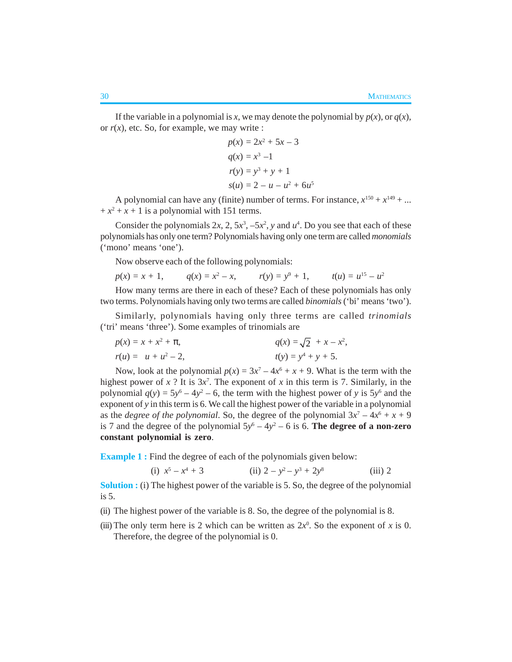If the variable in a polynomial is *x*, we may denote the polynomial by  $p(x)$ , or  $q(x)$ , or  $r(x)$ , etc. So, for example, we may write :

$$
p(x) = 2x^{2} + 5x - 3
$$
  
\n
$$
q(x) = x^{3} - 1
$$
  
\n
$$
r(y) = y^{3} + y + 1
$$
  
\n
$$
s(u) = 2 - u - u^{2} + 6u^{5}
$$

A polynomial can have any (finite) number of terms. For instance,  $x^{150} + x^{149} + ...$  $+x^2 + x + 1$  is a polynomial with 151 terms.

Consider the polynomials  $2x$ ,  $2$ ,  $5x^3$ ,  $-5x^2$ ,  $y$  and  $u^4$ . Do you see that each of these polynomials has only one term? Polynomials having only one term are called *monomials* ('mono' means 'one').

Now observe each of the following polynomials:

 $p(x) = x + 1$ ,  $q(x) = x^2 - x$ ,  $r(y) = y^9 + 1$ ,  $t(u) = u^{15} - u^2$ 

How many terms are there in each of these? Each of these polynomials has only two terms. Polynomials having only two terms are called *binomials* ('bi' means 'two').

Similarly, polynomials having only three terms are called *trinomials* ('tri' means 'three'). Some examples of trinomials are

$$
p(x) = x + x2 + \pi, \nr(u) = u + u2 - 2, \nr(v) = y4 + y + 5.
$$

Now, look at the polynomial  $p(x) = 3x^7 - 4x^6 + x + 9$ . What is the term with the highest power of *x* ? It is 3*x*<sup>7</sup> . The exponent of *x* in this term is 7. Similarly, in the polynomial  $q(y) = 5y^6 - 4y^2 - 6$ , the term with the highest power of *y* is  $5y^6$  and the exponent of *y* in this term is 6. We call the highest power of the variable in a polynomial as the *degree of the polynomial*. So, the degree of the polynomial  $3x^7 - 4x^6 + x + 9$ is 7 and the degree of the polynomial  $5y^6 - 4y^2 - 6$  is 6. **The degree of a non-zero constant polynomial is zero**.

**Example 1 :** Find the degree of each of the polynomials given below:

(i) 
$$
x^5 - x^4 + 3
$$
 (ii)  $2 - y^2 - y^3 + 2y^8$  (iii) 2

**Solution :** (i) The highest power of the variable is 5. So, the degree of the polynomial is 5.

- (ii) The highest power of the variable is 8. So, the degree of the polynomial is 8.
- (iii) The only term here is 2 which can be written as  $2x^0$ . So the exponent of *x* is 0. Therefore, the degree of the polynomial is 0.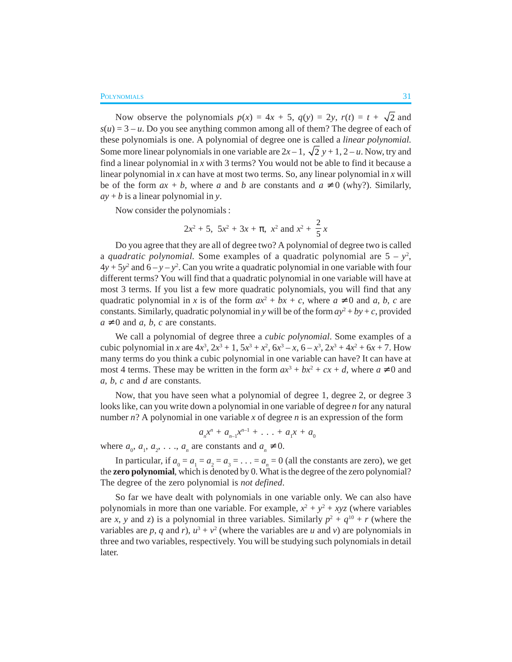#### POLYNOMIALS 31

Now observe the polynomials  $p(x) = 4x + 5$ ,  $q(y) = 2y$ ,  $r(t) = t + \sqrt{2}$  and  $s(u) = 3 - u$ . Do you see anything common among all of them? The degree of each of these polynomials is one. A polynomial of degree one is called a *linear polynomial*. Some more linear polynomials in one variable are  $2x-1$ ,  $\sqrt{2}$   $y+1$ ,  $2-u$ . Now, try and find a linear polynomial in *x* with 3 terms? You would not be able to find it because a linear polynomial in *x* can have at most two terms. So, any linear polynomial in *x* will be of the form  $ax + b$ , where *a* and *b* are constants and  $a \ne 0$  (why?). Similarly, *ay* + *b* is a linear polynomial in *y*.

Now consider the polynomials :

$$
2x^2 + 5
$$
,  $5x^2 + 3x + \pi$ ,  $x^2$  and  $x^2 + \frac{2}{5}x$ 

Do you agree that they are all of degree two? A polynomial of degree two is called a *quadratic polynomial*. Some examples of a quadratic polynomial are  $5 - y^2$ ,  $4y + 5y^2$  and  $6 - y - y^2$ . Can you write a quadratic polynomial in one variable with four different terms? You will find that a quadratic polynomial in one variable will have at most 3 terms. If you list a few more quadratic polynomials, you will find that any quadratic polynomial in *x* is of the form  $ax^2 + bx + c$ , where  $a \neq 0$  and *a*, *b*, *c* are constants. Similarly, quadratic polynomial in *y* will be of the form  $ay^2 + by + c$ , provided  $a \neq 0$  and *a*, *b*, *c* are constants.

We call a polynomial of degree three a *cubic polynomial*. Some examples of a cubic polynomial in *x* are  $4x^3$ ,  $2x^3 + 1$ ,  $5x^3 + x^2$ ,  $6x^3 - x$ ,  $6 - x^3$ ,  $2x^3 + 4x^2 + 6x + 7$ . How many terms do you think a cubic polynomial in one variable can have? It can have at most 4 terms. These may be written in the form  $ax^3 + bx^2 + cx + d$ , where  $a \neq 0$  and *a*, *b*, *c* and *d* are constants.

Now, that you have seen what a polynomial of degree 1, degree 2, or degree 3 looks like, can you write down a polynomial in one variable of degree *n* for any natural number *n*? A polynomial in one variable *x* of degree *n* is an expression of the form

$$
a_n x^n + a_{n-1} x^{n-1} + \ldots + a_1 x + a_0
$$

where  $a_0$ ,  $a_1$ ,  $a_2$ , ...,  $a_n$  are constants and  $a_n \neq 0$ .

In particular, if  $a_0 = a_1 = a_2 = a_3 = \ldots = a_n = 0$  (all the constants are zero), we get the **zero polynomial**, which is denoted by 0. What is the degree of the zero polynomial? The degree of the zero polynomial is *not defined*.

So far we have dealt with polynomials in one variable only. We can also have polynomials in more than one variable. For example,  $x^2 + y^2 + xyz$  (where variables are *x*, *y* and *z*) is a polynomial in three variables. Similarly  $p^2 + q^{10} + r$  (where the variables are p, q and r),  $u^3 + v^2$  (where the variables are u and v) are polynomials in three and two variables, respectively. You will be studying such polynomials in detail later.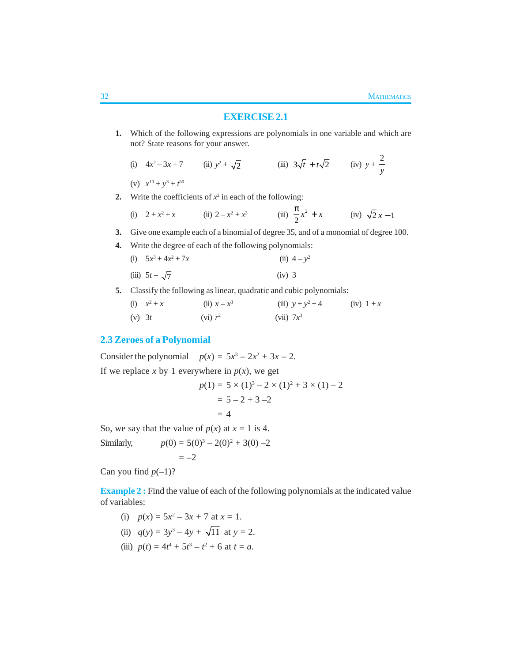## **EXERCISE 2.1**

- **1.** Which of the following expressions are polynomials in one variable and which are not? State reasons for your answer.
	- (i)  $4x^2-3x+7$  $-3x+7$  (ii)  $y^2 + \sqrt{2}$  (iii)  $3\sqrt{t} + t\sqrt{2}$  (iv)  $y + \frac{2}{y}$ *y* (v)  $x^{10} + y^3 + t^{50}$
- **2.** Write the coefficients of  $x^2$  in each of the following:

(i) 
$$
2 + x^2 + x
$$
 (ii)  $2 - x^2 + x^3$  (iii)  $\frac{\pi}{2}x^2 + x$  (iv)  $\sqrt{2}x - 1$ 

- **3.** Give one example each of a binomial of degree 35, and of a monomial of degree 100.
- **4.** Write the degree of each of the following polynomials: (i)  $5x^3 + 4x^2$  $(ii)$  4 –  $y^2$ (iii)  $5t - \sqrt{7}$  (iv) 3
- **5.** Classify the following as linear, quadratic and cubic polynomials:

|          | (i) $x^2 + x$ | $(ii)$ $x - x^3$ | (iii) $y + y^2 + 4$ | $(iv)$ 1+x |
|----------|---------------|------------------|---------------------|------------|
| $(v)$ 3t |               | $(vi)$ $r^2$     | (vii) $7x^3$        |            |

## **2.3 Zeroes of a Polynomial**

Consider the polynomial  $p(x) = 5x^3 - 2x^2 + 3x - 2$ . If we replace *x* by 1 everywhere in  $p(x)$ , we get

$$
p(1) = 5 \times (1)^{3} - 2 \times (1)^{2} + 3 \times (1) - 2
$$
  
= 5 - 2 + 3 - 2  
= 4

So, we say that the value of  $p(x)$  at  $x = 1$  is 4.

Similarly,  $p(0) = 5(0)^3 - 2(0)^2 + 3(0) - 2$ 

 $=-2$ 

Can you find  $p(-1)$ ?

**Example 2:** Find the value of each of the following polynomials at the indicated value of variables:

- (i)  $p(x) = 5x^2 3x + 7$  at  $x = 1$ .
- (ii)  $q(y) = 3y^3 4y + \sqrt{11}$  at  $y = 2$ .
- (iii)  $p(t) = 4t^4 + 5t^3 t^2 + 6$  at  $t = a$ .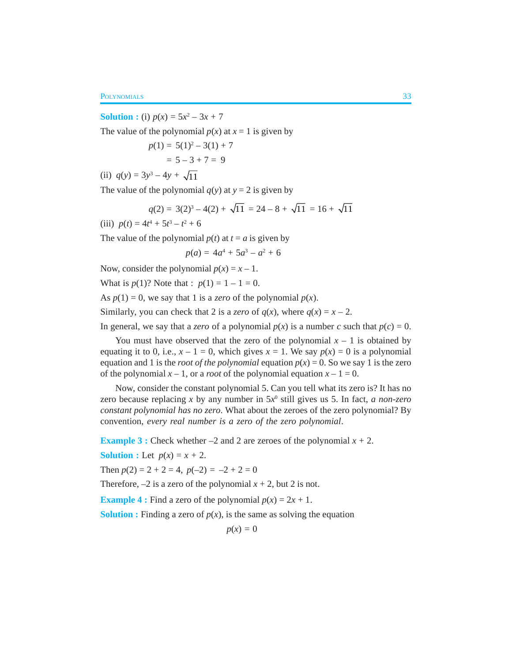**Solution :** (i)  $p(x) = 5x^2 - 3x + 7$ 

The value of the polynomial  $p(x)$  at  $x = 1$  is given by

 $p(1) = 5(1)^2 - 3(1) + 7$  $= 5 - 3 + 7 = 9$ 

(ii)  $q(y) = 3y^3 - 4y + \sqrt{11}$ 

The value of the polynomial  $q(y)$  at  $y = 2$  is given by

$$
q(2) = 3(2)^3 - 4(2) + \sqrt{11} = 24 - 8 + \sqrt{11} = 16 + \sqrt{11}
$$

(iii)  $p(t) = 4t^4 + 5t^3 - t^2 + 6$ 

The value of the polynomial  $p(t)$  at  $t = a$  is given by

$$
p(a) = 4a^4 + 5a^3 - a^2 + 6
$$

Now, consider the polynomial  $p(x) = x - 1$ .

What is  $p(1)$ ? Note that :  $p(1) = 1 - 1 = 0$ .

As  $p(1) = 0$ , we say that 1 is a *zero* of the polynomial  $p(x)$ .

Similarly, you can check that 2 is a *zero* of  $q(x)$ , where  $q(x) = x - 2$ .

In general, we say that a *zero* of a polynomial  $p(x)$  is a number *c* such that  $p(c) = 0$ .

You must have observed that the zero of the polynomial  $x - 1$  is obtained by equating it to 0, i.e.,  $x - 1 = 0$ , which gives  $x = 1$ . We say  $p(x) = 0$  is a polynomial equation and 1 is the *root of the polynomial* equation  $p(x) = 0$ . So we say 1 is the zero of the polynomial  $x - 1$ , or a *root* of the polynomial equation  $x - 1 = 0$ .

Now, consider the constant polynomial 5. Can you tell what its zero is? It has no zero because replacing x by any number in  $5x<sup>0</sup>$  still gives us 5. In fact, *a non-zero constant polynomial has no zero*. What about the zeroes of the zero polynomial? By convention, *every real number is a zero of the zero polynomial*.

**Example 3 :** Check whether  $-2$  and 2 are zeroes of the polynomial  $x + 2$ .

**Solution :** Let  $p(x) = x + 2$ .

Then  $p(2) = 2 + 2 = 4$ ,  $p(-2) = -2 + 2 = 0$ 

Therefore,  $-2$  is a zero of the polynomial  $x + 2$ , but 2 is not.

**Example 4 :** Find a zero of the polynomial  $p(x) = 2x + 1$ .

**Solution :** Finding a zero of  $p(x)$ , is the same as solving the equation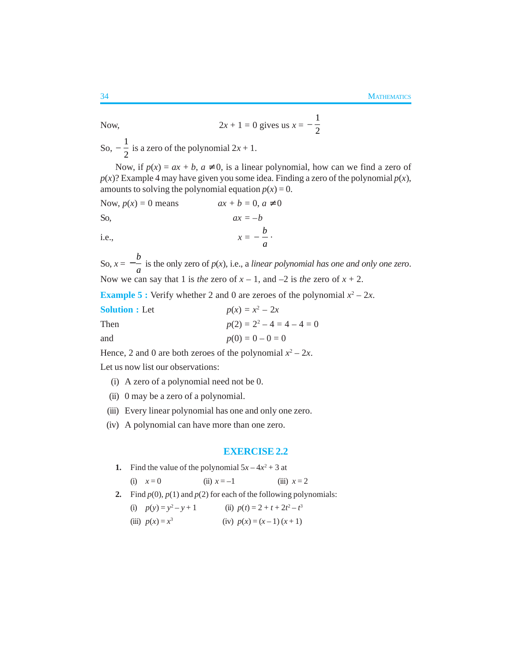Now, 
$$
2x + 1 = 0
$$
 gives us  $x = -\frac{1}{2}$ 

So,  $-\frac{1}{2}$  is a zero of the polynomial  $2x + 1$ .

Now, if  $p(x) = ax + b$ ,  $a \ne 0$ , is a linear polynomial, how can we find a zero of  $p(x)$ ? Example 4 may have given you some idea. Finding a zero of the polynomial  $p(x)$ , amounts to solving the polynomial equation  $p(x) = 0$ .

Now, 
$$
p(x) = 0
$$
 means  $ax + b = 0, a \neq 0$   
So,  $ax = -b$   
i.e.,  $x = -\frac{b}{a}$ .

So,  $x = -\frac{b}{a}$  is the only zero of  $p(x)$ , i.e., a *linear polynomial has one and only one zero*. Now we can say that 1 is *the* zero of  $x - 1$ , and  $-2$  is *the* zero of  $x + 2$ .

.

**Example 5 :** Verify whether 2 and 0 are zeroes of the polynomial  $x^2 - 2x$ .

| <b>Solution : Let</b> | $p(x) = x^2 - 2x$            |
|-----------------------|------------------------------|
| Then                  | $p(2) = 2^2 - 4 = 4 - 4 = 0$ |
| and                   | $p(0) = 0 - 0 = 0$           |

Hence, 2 and 0 are both zeroes of the polynomial  $x^2 - 2x$ .

Let us now list our observations:

- (i) A zero of a polynomial need not be 0.
- (ii) 0 may be a zero of a polynomial.
- (iii) Every linear polynomial has one and only one zero.
- (iv) A polynomial can have more than one zero.

### **EXERCISE 2.2**

**1.** Find the value of the polynomial  $5x - 4x^2 + 3$  at

(i) 
$$
x = 0
$$
 (ii)  $x = -1$  (iii)  $x = 2$ 

**2.** Find  $p(0)$ ,  $p(1)$  and  $p(2)$  for each of the following polynomials:

(i) 
$$
p(y) = y^2 - y + 1
$$
 (ii)  $p(t) = 2 + t + 2t^2 - t^3$ 

(iii)  $p(x) = x^3$  (iv)  $p(x) = (x-1)(x+1)$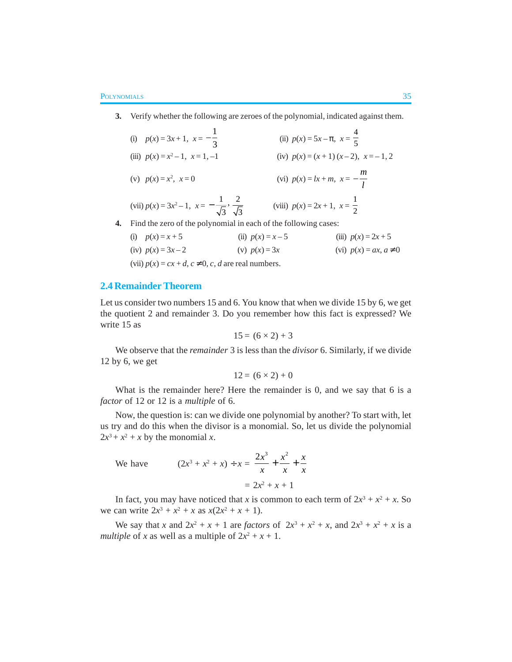- **3.** Verify whether the following are zeroes of the polynomial, indicated against them.
	- (i)  $p(x) = 3x + 1$ ,  $x = -\frac{1}{3}$  (ii)  $p(x) = 5x \pi$ ,  $x = \frac{4}{5}$ (iii)  $p(x) = x^2 - 1$ ,  $x = 1, -1$ (iv)  $p(x) = (x + 1)(x - 2), x = -1, 2$ (v)  $p(x) = x^2$ ,  $x = 0$  $y(x) = k + m, \quad x = -\frac{m}{k}$ *l* (vii)  $p(x) = 3x^2 - 1$ ,  $x = -\frac{1}{\sqrt{2}}, \frac{2}{\sqrt{2}}$  $-\frac{1}{\sqrt{3}}, \frac{2}{\sqrt{3}}$  (viii)  $p(x) = 2x + 1, x = \frac{1}{2}$
- **4.** Find the zero of the polynomial in each of the following cases:

| (i) $p(x) = x + 5$ | (ii) $p(x) = x-5$                                      | (iii) $p(x) = 2x + 5$      |
|--------------------|--------------------------------------------------------|----------------------------|
| (iv) $p(x) = 3x-2$ | $(v)$ $p(x) = 3x$                                      | (vi) $p(x) = ax, a \neq 0$ |
|                    | (vii) $p(x) = cx + d, c \ne 0, c, d$ are real numbers. |                            |

#### **2.4 Remainder Theorem**

Let us consider two numbers 15 and 6. You know that when we divide 15 by 6, we get the quotient 2 and remainder 3. Do you remember how this fact is expressed? We write 15 as

$$
15 = (6 \times 2) + 3
$$

We observe that the *remainder* 3 is less than the *divisor* 6. Similarly, if we divide 12 by 6, we get

$$
12 = (6 \times 2) + 0
$$

What is the remainder here? Here the remainder is 0, and we say that 6 is a *factor* of 12 or 12 is a *multiple* of 6.

Now, the question is: can we divide one polynomial by another? To start with, let us try and do this when the divisor is a monomial. So, let us divide the polynomial  $2x^3 + x^2 + x$  by the monomial *x*.

We have 
$$
(2x^3 + x^2 + x) \div x = \frac{2x^3}{x} + \frac{x^2}{x} + \frac{x}{x}
$$

$$
= 2x^2 + x + 1
$$

In fact, you may have noticed that *x* is common to each term of  $2x^3 + x^2 + x$ . So we can write  $2x^3 + x^2 + x$  as  $x(2x^2 + x + 1)$ .

We say that *x* and  $2x^2 + x + 1$  are *factors* of  $2x^3 + x^2 + x$ , and  $2x^3 + x^2 + x$  is a *multiple* of *x* as well as a multiple of  $2x^2 + x + 1$ .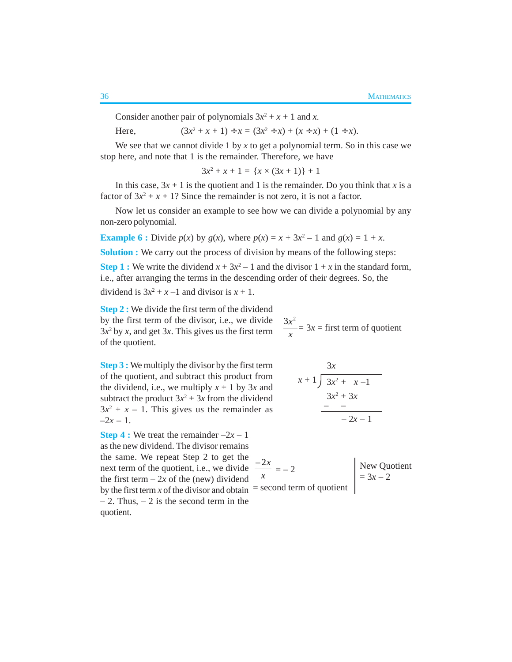Consider another pair of polynomials  $3x^2 + x + 1$  and *x*.

Here.  $(3x^2 + x + 1) \div x = (3x^2 \div x) + (x \div x) + (1 \div x).$ 

We see that we cannot divide 1 by  $x$  to get a polynomial term. So in this case we stop here, and note that 1 is the remainder. Therefore, we have

 $3x^2 + x + 1 = \{x \times (3x + 1)\} + 1$ 

In this case,  $3x + 1$  is the quotient and 1 is the remainder. Do you think that *x* is a factor of  $3x^2 + x + 1$ ? Since the remainder is not zero, it is not a factor.

Now let us consider an example to see how we can divide a polynomial by any non-zero polynomial.

**Example 6 :** Divide  $p(x)$  by  $g(x)$ , where  $p(x) = x + 3x^2 - 1$  and  $g(x) = 1 + x$ .

**Solution :** We carry out the process of division by means of the following steps:

**Step 1 :** We write the dividend  $x + 3x^2 - 1$  and the divisor  $1 + x$  in the standard form, i.e., after arranging the terms in the descending order of their degrees. So, the dividend is  $3x^2 + x - 1$  and divisor is  $x + 1$ .

**Step 2 :** We divide the first term of the dividend by the first term of the divisor, i.e., we divide  $3x<sup>2</sup>$  by *x*, and get 3*x*. This gives us the first term of the quotient.

 $3x^2$  $\frac{dx}{x}$  = 3*x* = first term of quotient

**Step 3 :** We multiply the divisor by the first term of the quotient, and subtract this product from the dividend, i.e., we multiply  $x + 1$  by 3x and subtract the product  $3x^2 + 3x$  from the dividend  $3x^2 + x - 1$ . This gives us the remainder as  $-2x - 1$ .

**Step 4 :** We treat the remainder  $-2x - 1$ as the new dividend. The divisor remains the same. We repeat Step 2 to get the next term of the quotient, i.e., we divide  $\frac{-2x}{2}$ the first term  $-2x$  of the (new) dividend by the first term *x* of the divisor and obtain  $=$  second term of quotient  $-2$ . Thus,  $-2$  is the second term in the quotient.

$$
\begin{array}{r} 3x \\ x+1{\overline{\smash{\big)}\ 3x^2 + x -1}} \\ \underline{3x^2 + 3x} \\ -2x-1 \end{array}
$$

 $\frac{1}{x} = -2$ New Quotient  $= 3x - 2$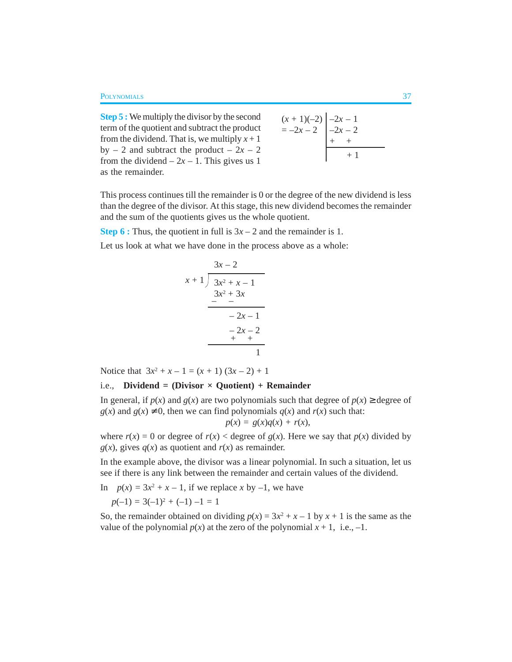**Step 5 :** We multiply the divisor by the second term of the quotient and subtract the product from the dividend. That is, we multiply  $x + 1$ by  $-2$  and subtract the product  $-2x - 2$ from the dividend  $-2x - 1$ . This gives us 1 as the remainder.

$$
(x + 1)(-2)
$$
\n
$$
= -2x - 2
$$
\n
$$
-2x - 2
$$
\n
$$
+ 1
$$
\n
$$
+ 1
$$

This process continues till the remainder is 0 or the degree of the new dividend is less than the degree of the divisor. At this stage, this new dividend becomes the remainder and the sum of the quotients gives us the whole quotient.

**Step 6 :** Thus, the quotient in full is  $3x - 2$  and the remainder is 1.

Let us look at what we have done in the process above as a whole:

$$
\begin{array}{r} 3x - 2 \\ x + 1 \overline{\smash)3x^2 + x - 1} \\ \underline{3x^2 + 3x} \\ -2x - 1 \\ \underline{-2x - 2} \\ + + + + \\ 1\n\end{array}
$$

Notice that  $3x^2 + x - 1 = (x + 1) (3x - 2) + 1$ 

# i.e., **Dividend = (Divisor × Quotient) + Remainder**

In general, if  $p(x)$  and  $g(x)$  are two polynomials such that degree of  $p(x) \geq$  degree of *g*(*x*) and *g*(*x*)  $\neq$  0, then we can find polynomials *q*(*x*) and *r*(*x*) such that:  $p(x) = g(x)q(x) + r(x),$ 

where  $r(x) = 0$  or degree of  $r(x) <$  degree of  $g(x)$ . Here we say that  $p(x)$  divided by  $g(x)$ , gives  $q(x)$  as quotient and  $r(x)$  as remainder.

In the example above, the divisor was a linear polynomial. In such a situation, let us see if there is any link between the remainder and certain values of the dividend.

In  $p(x) = 3x^2 + x - 1$ , if we replace *x* by -1, we have

 $p(-1) = 3(-1)^2 + (-1) -1 = 1$ 

So, the remainder obtained on dividing  $p(x) = 3x^2 + x - 1$  by  $x + 1$  is the same as the value of the polynomial  $p(x)$  at the zero of the polynomial  $x + 1$ , i.e., -1.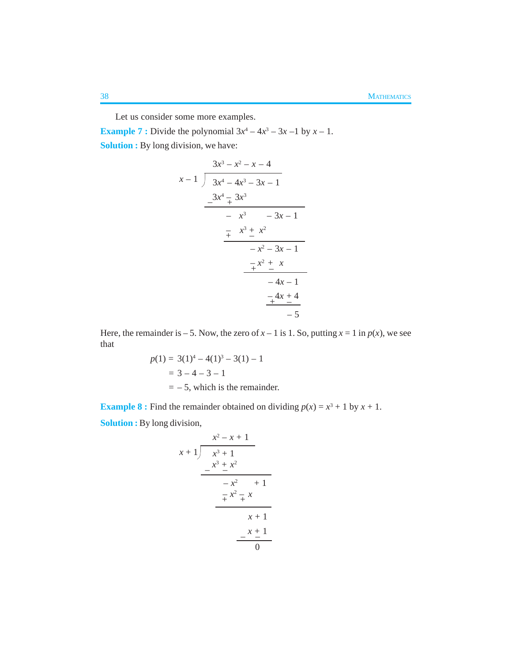Let us consider some more examples.

**Example 7 :** Divide the polynomial  $3x^4 - 4x^3 - 3x - 1$  by  $x - 1$ . **Solution :** By long division, we have:

$$
3x3-x2-x-4
$$
\n
$$
x-1
$$
\n
$$
3x4-4x3-3x-1
$$
\n
$$
3x4 - 3x3
$$
\n
$$
-x3 - 3x - 1
$$
\n
$$
-x3 + x2
$$
\n
$$
-x2-3x-1
$$
\n
$$
-x2 + x
$$
\n
$$
-4x-1
$$
\n
$$
-4x + 4
$$
\n
$$
-5
$$

Here, the remainder is  $-5$ . Now, the zero of  $x - 1$  is 1. So, putting  $x = 1$  in  $p(x)$ , we see that

$$
p(1) = 3(1)^{4} - 4(1)^{3} - 3(1) - 1
$$
  
= 3 - 4 - 3 - 1  
= -5, which is the remainder.

**Example 8 :** Find the remainder obtained on dividing  $p(x) = x^3 + 1$  by  $x + 1$ . **Solution :** By long division,

$$
\begin{array}{r} x^2 - x + 1 \\ x + 1 \overline{\smash)x^3 + 1} \\ -x^3 \underline{x^2} \\ -x^2 \underline{x^2} \\ +x^2 \underline{x^2} \\ x + 1 \\ x + 1 \\ \underline{x + 1} \\ 0 \end{array}
$$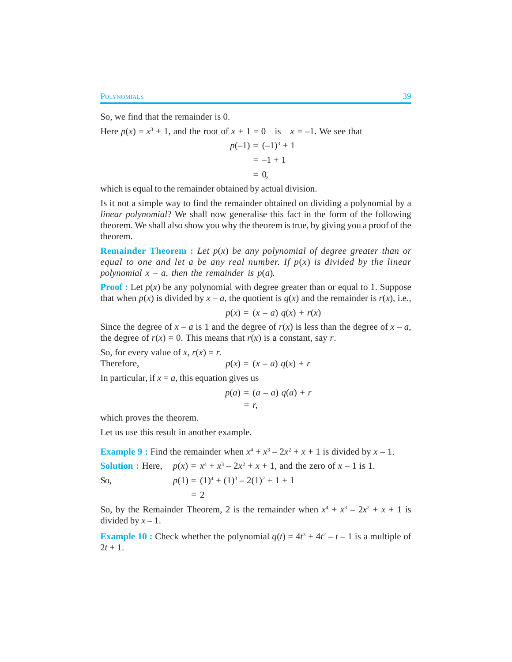So, we find that the remainder is 0.

Here  $p(x) = x^3 + 1$ , and the root of  $x + 1 = 0$  is  $x = -1$ . We see that

$$
p(-1) = (-1)^3 + 1
$$
  
= -1 + 1  
= 0,

which is equal to the remainder obtained by actual division.

Is it not a simple way to find the remainder obtained on dividing a polynomial by a *linear polynomial*? We shall now generalise this fact in the form of the following theorem. We shall also show you why the theorem is true, by giving you a proof of the theorem.

**Remainder Theorem :** *Let p*(*x*) *be any polynomial of degree greater than or equal to one and let a be any real number. If p*(*x*) *is divided by the linear polynomial*  $x - a$ *, then the remainder is p(a).* 

**Proof :** Let  $p(x)$  be any polynomial with degree greater than or equal to 1. Suppose that when  $p(x)$  is divided by  $x - a$ , the quotient is  $q(x)$  and the remainder is  $r(x)$ , i.e.,

$$
p(x) = (x - a) q(x) + r(x)
$$

Since the degree of  $x - a$  is 1 and the degree of  $r(x)$  is less than the degree of  $x - a$ , the degree of  $r(x) = 0$ . This means that  $r(x)$  is a constant, say *r*.

So, for every value of *x*,  $r(x) = r$ .  $The$  refore,

$$
p(x) = (x - a) q(x) + r
$$

In particular, if  $x = a$ , this equation gives us

$$
p(a) = (a - a) q(a) + r
$$

$$
= r,
$$

which proves the theorem.

Let us use this result in another example.

**Example 9 :** Find the remainder when  $x^4 + x^3 - 2x^2 + x + 1$  is divided by  $x - 1$ .

**Solution :** Here,  $p(x) = x^4 + x^3 - 2x^2 + x + 1$ , and the zero of  $x - 1$  is 1.

So, 
$$
p(1) = (1)^4 + (1)^3 - 2(1)^2 + 1 + 1
$$

$$
= 2
$$

So, by the Remainder Theorem, 2 is the remainder when  $x^4 + x^3 - 2x^2 + x + 1$  is divided by  $x - 1$ .

**Example 10 :** Check whether the polynomial  $q(t) = 4t^3 + 4t^2 - t - 1$  is a multiple of  $2t + 1$ .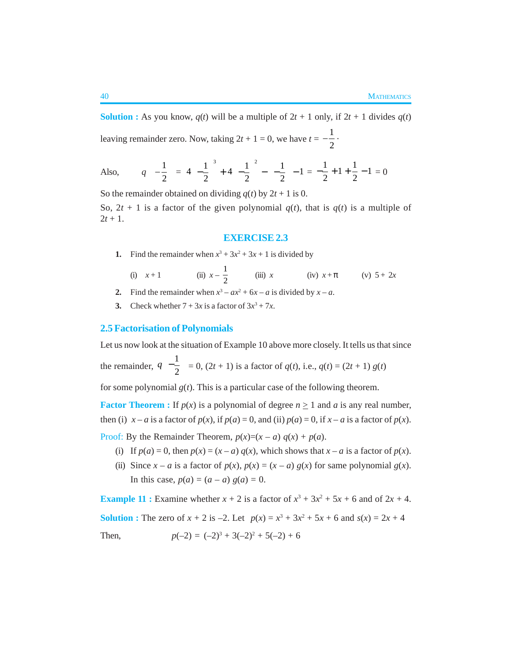**Solution :** As you know,  $q(t)$  will be a multiple of  $2t + 1$  only, if  $2t + 1$  divides  $q(t)$ leaving remainder zero. Now, taking  $2t + 1 = 0$ , we have  $t = -\frac{1}{2}$ .

Also, 
$$
q\left(-\frac{1}{2}\right) = 4\left(-\frac{1}{2}\right)^3 + 4\left(-\frac{1}{2}\right)^2 - \left(-\frac{1}{2}\right) - 1 = -\frac{1}{2} + 1 + \frac{1}{2} - 1 = 0
$$

So the remainder obtained on dividing  $q(t)$  by  $2t + 1$  is 0.

So,  $2t + 1$  is a factor of the given polynomial  $q(t)$ , that is  $q(t)$  is a multiple of  $2t + 1$ .

## **EXERCISE 2.3**

**1.** Find the remainder when  $x^3 + 3x^2 + 3x + 1$  is divided by

(i) 
$$
x+1
$$
 (ii)  $x-\frac{1}{2}$  (iii) x (iv)  $x+\pi$  (v)  $5+2x$ 

- **2.** Find the remainder when  $x^3 ax^2 + 6x a$  is divided by  $x a$ .
- **3.** Check whether  $7 + 3x$  is a factor of  $3x^3 + 7x$ .

### **2.5 Factorisation of Polynomials**

Let us now look at the situation of Example 10 above more closely. It tells us that since

the remainder, 
$$
q\left(-\frac{1}{2}\right) = 0
$$
,  $(2t + 1)$  is a factor of  $q(t)$ , i.e.,  $q(t) = (2t + 1) g(t)$ 

for some polynomial  $g(t)$ . This is a particular case of the following theorem.

**Factor Theorem :** If  $p(x)$  is a polynomial of degree  $n \ge 1$  and *a* is any real number, then (i)  $x - a$  is a factor of  $p(x)$ , if  $p(a) = 0$ , and (ii)  $p(a) = 0$ , if  $x - a$  is a factor of  $p(x)$ .

Proof: By the Remainder Theorem,  $p(x)=(x-a) q(x) + p(a)$ .

- (i) If  $p(a) = 0$ , then  $p(x) = (x a) q(x)$ , which shows that  $x a$  is a factor of  $p(x)$ .
- (ii) Since  $x a$  is a factor of  $p(x)$ ,  $p(x) = (x a) g(x)$  for same polynomial  $g(x)$ . In this case,  $p(a) = (a - a) g(a) = 0$ .

**Example 11 :** Examine whether  $x + 2$  is a factor of  $x^3 + 3x^2 + 5x + 6$  and of  $2x + 4$ . **Solution :** The zero of  $x + 2$  is  $-2$ . Let  $p(x) = x^3 + 3x^2 + 5x + 6$  and  $s(x) = 2x + 4$ Then,  $p(-2) = (-2)^3 + 3(-2)^2 + 5(-2) + 6$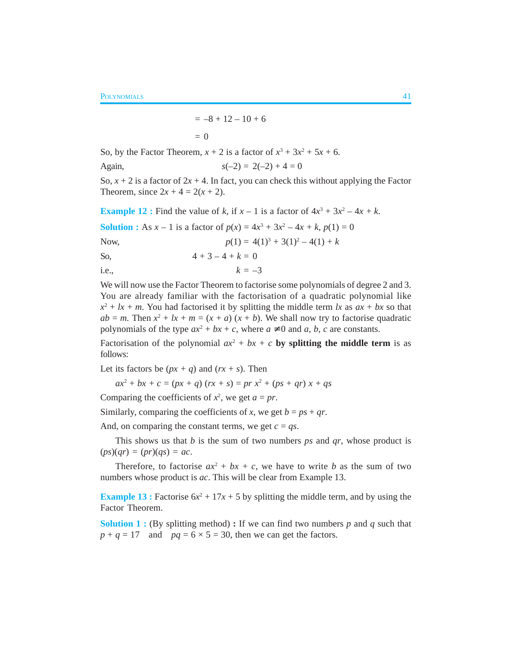$$
= -8 + 12 - 10 + 6
$$

 $= 0$ 

So, by the Factor Theorem,  $x + 2$  is a factor of  $x^3 + 3x^2 + 5x + 6$ .

Again,  $s(-2) = 2(-2) + 4 = 0$ 

So,  $x + 2$  is a factor of  $2x + 4$ . In fact, you can check this without applying the Factor Theorem, since  $2x + 4 = 2(x + 2)$ .

**Example 12 :** Find the value of *k*, if  $x - 1$  is a factor of  $4x^3 + 3x^2 - 4x + k$ .

|               | <b>Solution :</b> As $x - 1$ is a factor of $p(x) = 4x^3 + 3x^2 - 4x + k$ , $p(1) = 0$ |
|---------------|----------------------------------------------------------------------------------------|
| Now.          | $p(1) = 4(1)^3 + 3(1)^2 - 4(1) + k$                                                    |
| So.           | $4+3-4+k=0$                                                                            |
| <i>i.e.</i> , | $k=-3$                                                                                 |

We will now use the Factor Theorem to factorise some polynomials of degree 2 and 3. You are already familiar with the factorisation of a quadratic polynomial like  $x^2 + lx + m$ . You had factorised it by splitting the middle term *lx* as  $ax + bx$  so that  $ab = m$ . Then  $x^2 + lx + m = (x + a)(x + b)$ . We shall now try to factorise quadratic polynomials of the type  $ax^2 + bx + c$ , where  $a \neq 0$  and  $a, b, c$  are constants.

Factorisation of the polynomial  $ax^2 + bx + c$  by splitting the middle term is as follows:

Let its factors be  $(px + q)$  and  $(rx + s)$ . Then

 $ax^2 + bx + c = (px + q)(rx + s) = pr x^2 + (ps + qr) x + qs$ 

Comparing the coefficients of  $x^2$ , we get  $a = pr$ .

Similarly, comparing the coefficients of *x*, we get  $b = ps + qr$ .

And, on comparing the constant terms, we get  $c = qs$ .

This shows us that *b* is the sum of two numbers *ps* and *qr*, whose product is  $(ps)(qr) = (pr)(qs) = ac.$ 

Therefore, to factorise  $ax^2 + bx + c$ , we have to write *b* as the sum of two numbers whose product is *ac*. This will be clear from Example 13.

**Example 13 :** Factorise  $6x^2 + 17x + 5$  by splitting the middle term, and by using the Factor Theorem.

**Solution 1 :** (By splitting method) **:** If we can find two numbers *p* and *q* such that  $p + q = 17$  and  $pq = 6 \times 5 = 30$ , then we can get the factors.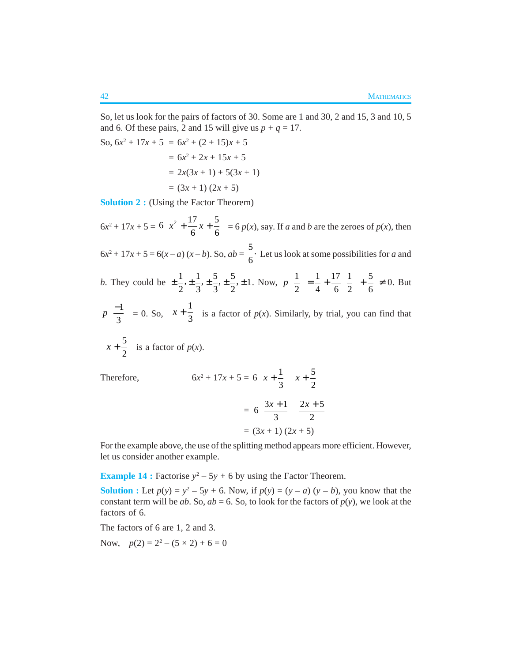So, let us look for the pairs of factors of 30. Some are 1 and 30, 2 and 15, 3 and 10, 5 and 6. Of these pairs, 2 and 15 will give us  $p + q = 17$ .

So, 
$$
6x^2 + 17x + 5 = 6x^2 + (2 + 15)x + 5
$$
  
=  $6x^2 + 2x + 15x + 5$   
=  $2x(3x + 1) + 5(3x + 1)$   
=  $(3x + 1) (2x + 5)$ 

**Solution 2 :** (Using the Factor Theorem)

 $6x^2 + 17x + 5 = 6\left(x^2 + \frac{17}{6}x + \frac{5}{6}\right) = 6 p(x)$ , say. If *a* and *b* are the zeroes of  $p(x)$ , then  $6x^2 + 17x + 5 = 6(x - a) (x - b)$ . So,  $ab = \frac{5}{6}$ . Let us look at some possibilities for *a* and *b*. They could be  $\pm \frac{1}{2}, \pm \frac{1}{2}, \pm \frac{5}{2}, \pm \frac{5}{2}, \pm 1$ 2332  $\pm \frac{1}{2}, \pm \frac{1}{3}, \pm \frac{5}{3}, \pm \frac{5}{2}, \pm 1$ . Now,  $p\left(\frac{1}{2}\right) = \frac{1}{4} + \frac{17}{6}\left(\frac{1}{2}\right) + \frac{5}{6} \neq 0$ . But  $p\left(\frac{-1}{3}\right) = 0.$  So, 1 3  $\left(x+\frac{1}{3}\right)$  is a factor of *p*(*x*). Similarly, by trial, you can find that 5  $\left(x + \frac{5}{2}\right)$  is a factor of *p*(*x*).

Therefore,

$$
+ 17x + 5 = 6\left(x + \frac{1}{3}\right)\left(x + \frac{5}{2}\right)
$$

$$
= 6\left(\frac{3x + 1}{3}\right)\left(\frac{2x + 5}{2}\right)
$$

$$
= (3x + 1)(2x + 5)
$$

For the example above, the use of the splitting method appears more efficient. However, let us consider another example.

**Example 14 :** Factorise  $y^2 - 5y + 6$  by using the Factor Theorem.

**Solution :** Let  $p(y) = y^2 - 5y + 6$ . Now, if  $p(y) = (y - a)(y - b)$ , you know that the constant term will be *ab*. So,  $ab = 6$ . So, to look for the factors of  $p(y)$ , we look at the factors of 6.

The factors of 6 are 1, 2 and 3.

Now,  $p(2) = 2^2 - (5 \times 2) + 6 = 0$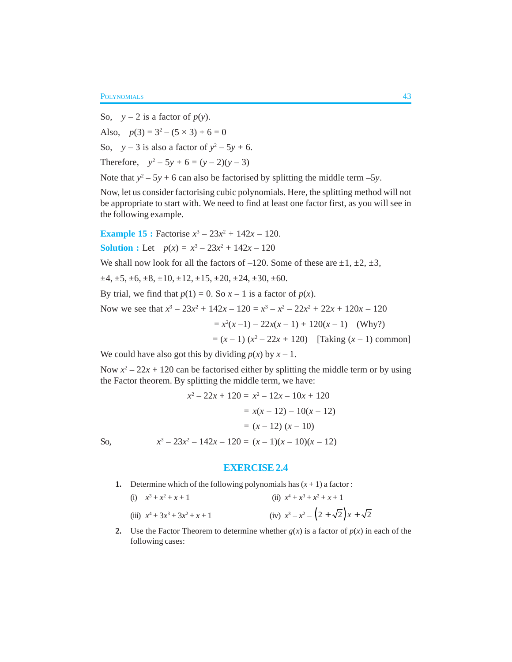POLYNOMIALS 43

So,  $y - 2$  is a factor of  $p(y)$ . Also,  $p(3) = 3^2 - (5 \times 3) + 6 = 0$ So,  $y - 3$  is also a factor of  $y^2 - 5y + 6$ . Therefore,  $y^2 - 5y + 6 = (y - 2)(y - 3)$ 

Note that  $y^2 - 5y + 6$  can also be factorised by splitting the middle term  $-5y$ .

Now, let us consider factorising cubic polynomials. Here, the splitting method will not be appropriate to start with. We need to find at least one factor first, as you will see in the following example.

**Example 15 :** Factorise 
$$
x^3 - 23x^2 + 142x - 120
$$
.

**Solution :** Let 
$$
p(x) = x^3 - 23x^2 + 142x - 120
$$

We shall now look for all the factors of –120. Some of these are  $\pm 1, \pm 2, \pm 3$ ,

 $\pm 4, \pm 5, \pm 6, \pm 8, \pm 10, \pm 12, \pm 15, \pm 20, \pm 24, \pm 30, \pm 60.$ 

By trial, we find that  $p(1) = 0$ . So  $x - 1$  is a factor of  $p(x)$ .

Now we see that 
$$
x^3 - 23x^2 + 142x - 120 = x^3 - x^2 - 22x^2 + 22x + 120x - 120
$$
  
=  $x^2(x-1) - 22x(x-1) + 120(x-1)$  (Why?)  
=  $(x-1) (x^2 - 22x + 120)$  [Taking  $(x - 1)$  common]

We could have also got this by dividing  $p(x)$  by  $x - 1$ .

Now  $x^2 - 22x + 120$  can be factorised either by splitting the middle term or by using the Factor theorem. By splitting the middle term, we have:

$$
x^{2} - 22x + 120 = x^{2} - 12x - 10x + 120
$$

$$
= x(x - 12) - 10(x - 12)
$$

$$
= (x - 12) (x - 10)
$$
So, 
$$
x^{3} - 23x^{2} - 142x - 120 = (x - 1)(x - 10)(x - 12)
$$

## **EXERCISE 2.4**

**1.** Determine which of the following polynomials has  $(x + 1)$  a factor:

(i) 
$$
x^3 + x^2 + x + 1
$$
  
\n(ii)  $x^4 + x^3 + x^2 + x + 1$   
\n(iii)  $x^4 + 3x^3 + 3x^2 + x + 1$   
\n(iv)  $x^3 - x^2 - (2 + \sqrt{2})x + \sqrt{2}$ 

**2.** Use the Factor Theorem to determine whether  $g(x)$  is a factor of  $p(x)$  in each of the following cases: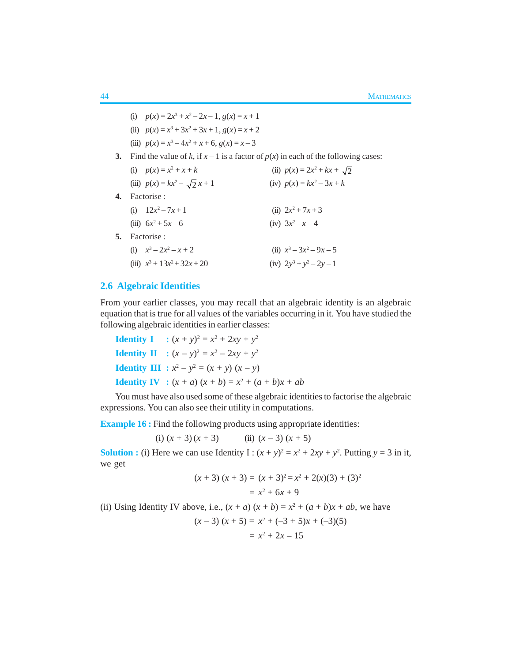|    | (i) $p(x) = 2x^3 + x^2 - 2x - 1$ , $g(x) = x + 1$  |                                                                                       |
|----|----------------------------------------------------|---------------------------------------------------------------------------------------|
|    | (ii) $p(x) = x^3 + 3x^2 + 3x + 1$ , $g(x) = x + 2$ |                                                                                       |
|    | (iii) $p(x) = x^3 - 4x^2 + x + 6$ , $g(x) = x - 3$ |                                                                                       |
| 3. |                                                    | Find the value of k, if $x - 1$ is a factor of $p(x)$ in each of the following cases: |
|    | (i) $p(x) = x^2 + x + k$                           | (ii) $p(x) = 2x^2 + kx + \sqrt{2}$                                                    |
|    | (iii) $p(x) = kx^2 - \sqrt{2}x + 1$                | (iv) $p(x) = kx^2 - 3x + k$                                                           |
| 4. | Factorise :                                        |                                                                                       |
|    | (i) $12x^2 - 7x + 1$                               | (ii) $2x^2 + 7x + 3$                                                                  |
|    | (iii) $6x^2 + 5x - 6$                              | (iv) $3x^2 - x - 4$                                                                   |
| 5. | Factorise :                                        |                                                                                       |
|    | (i) $x^3-2x^2-x+2$                                 | (ii) $x^3 - 3x^2 - 9x - 5$                                                            |
|    | (iii) $x^3 + 13x^2 + 32x + 20$                     | (iv) $2y^3 + y^2 - 2y - 1$                                                            |

# **2.6 Algebraic Identities**

From your earlier classes, you may recall that an algebraic identity is an algebraic equation that is true for all values of the variables occurring in it. You have studied the following algebraic identities in earlier classes:

**Identity I** :  $(x + y)^2 = x^2 + 2xy + y^2$ **Identity II** :  $(x - y)^2 = x^2 - 2xy + y^2$ **Identity III** :  $x^2 - y^2 = (x + y)(x - y)$ **Identity IV** :  $(x + a)(x + b) = x^2 + (a + b)x + ab$ 

You must have also used some of these algebraic identities to factorise the algebraic expressions. You can also see their utility in computations.

**Example 16 :** Find the following products using appropriate identities:

(i)  $(x + 3)(x + 3)$  (ii)  $(x - 3)(x + 5)$ 

**Solution :** (i) Here we can use Identity I :  $(x + y)^2 = x^2 + 2xy + y^2$ . Putting  $y = 3$  in it, we get

$$
(x + 3) (x + 3) = (x + 3)^2 = x^2 + 2(x)(3) + (3)^2
$$
  
= x<sup>2</sup> + 6x + 9

(ii) Using Identity IV above, i.e.,  $(x + a) (x + b) = x^2 + (a + b)x + ab$ , we have

$$
(x-3)(x+5) = x2 + (-3+5)x + (-3)(5)
$$
  
= x<sup>2</sup> + 2x - 15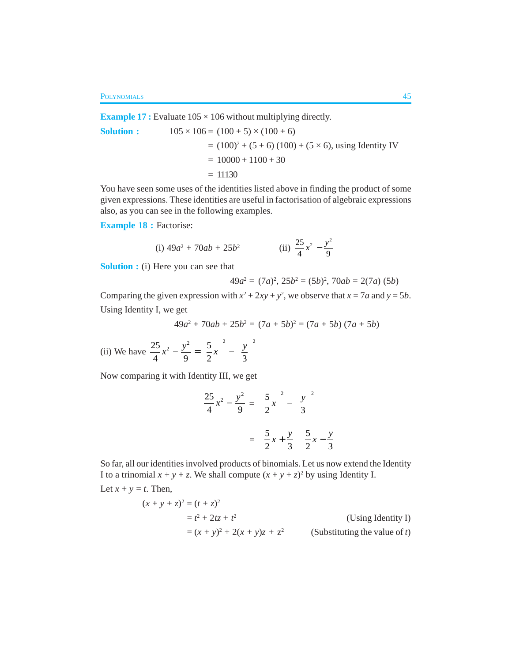**Example 17 :** Evaluate  $105 \times 106$  without multiplying directly.

Solution : 
$$
105 \times 106 = (100 + 5) \times (100 + 6)
$$
  
=  $(100)^2 + (5 + 6) (100) + (5 \times 6)$ , using Identity IV  
=  $10000 + 1100 + 30$   
= 11130

You have seen some uses of the identities listed above in finding the product of some given expressions. These identities are useful in factorisation of algebraic expressions also, as you can see in the following examples.

**Example 18 : Factorise:** 

(i) 
$$
49a^2 + 70ab + 25b^2
$$
 (ii)  $\frac{25}{4}x^2 - \frac{y^2}{9}$ 

**Solution :** (i) Here you can see that

$$
49a^2 = (7a)^2, 25b^2 = (5b)^2, 70ab = 2(7a) (5b)
$$

Comparing the given expression with  $x^2 + 2xy + y^2$ , we observe that  $x = 7a$  and  $y = 5b$ . Using Identity I, we get

$$
49a2 + 70ab + 25b2 = (7a + 5b)2 = (7a + 5b) (7a + 5b)
$$

(ii) We have 
$$
\frac{25}{4}x^2 - \frac{y^2}{9} = \left(\frac{5}{2}x\right)^2 - \left(\frac{y}{3}\right)^2
$$

Now comparing it with Identity III, we get

$$
\frac{25}{4}x^2 - \frac{y^2}{9} = \left(\frac{5}{2}x\right)^2 - \left(\frac{y}{3}\right)^2
$$

$$
= \left(\frac{5}{2}x + \frac{y}{3}\right)\left(\frac{5}{2}x - \frac{y}{3}\right)
$$

So far, all our identities involved products of binomials. Let us now extend the Identity I to a trinomial  $x + y + z$ . We shall compute  $(x + y + z)^2$  by using Identity I.

Let  $x + y = t$ . Then,

$$
(x + y + z)2 = (t + z)2
$$
  
= t<sup>2</sup> + 2tz + t<sup>2</sup>  
= (x + y)<sup>2</sup> + 2(x + y)z + z<sup>2</sup> (Substituting the value of t)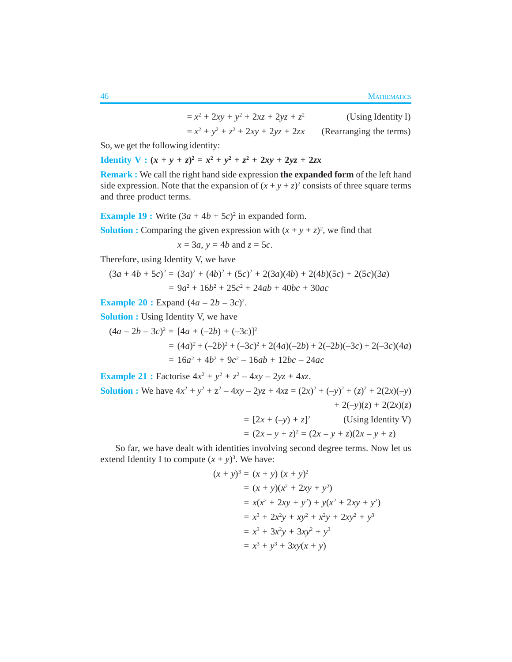| $= x^2 + 2xy + y^2 + 2xz + 2yz + z^2$ | (Using Identity I)      |
|---------------------------------------|-------------------------|
| $= x^2 + y^2 + z^2 + 2xy + 2yz + 2zx$ | (Rearranging the terms) |

So, we get the following identity:

**Identity V** :  $(x + y + z)^2 = x^2 + y^2 + z^2 + 2xy + 2yz + 2zx$ 

**Remark :** We call the right hand side expression **the expanded form** of the left hand side expression. Note that the expansion of  $(x + y + z)^2$  consists of three square terms and three product terms.

**Example 19 :** Write  $(3a + 4b + 5c)^2$  in expanded form.

**Solution :** Comparing the given expression with  $(x + y + z)^2$ , we find that

 $x = 3a$ ,  $y = 4b$  and  $z = 5c$ .

Therefore, using Identity V, we have

$$
(3a + 4b + 5c)2 = (3a)2 + (4b)2 + (5c)2 + 2(3a)(4b) + 2(4b)(5c) + 2(5c)(3a)
$$
  
= 9a<sup>2</sup> + 16b<sup>2</sup> + 25c<sup>2</sup> + 24ab + 40bc + 30ac

**Example 20 :** Expand  $(4a - 2b - 3c)^2$ .

**Solution :** Using Identity V, we have

$$
(4a - 2b - 3c)2 = [4a + (-2b) + (-3c)]2
$$
  
= (4a)<sup>2</sup> + (-2b)<sup>2</sup> + (-3c)<sup>2</sup> + 2(4a)(-2b) + 2(-2b)(-3c) + 2(-3c)(4a)  
= 16a<sup>2</sup> + 4b<sup>2</sup> + 9c<sup>2</sup> - 16ab + 12bc - 24ac

**Example 21 :** Factorise  $4x^2 + y^2 + z^2 - 4xy - 2yz + 4xz$ . **Solution :** We have  $4x^2 + y^2 + z^2 - 4xy - 2yz + 4xz = (2x)^2 + (-y)^2 + (z)^2 + 2(2x)(-y)$  $+ 2(-y)(z) + 2(2x)(z)$ 

$$
= [2x + (-y) + z]^2
$$
 (Using Identity V)  
=  $(2x - y + z)^2 = (2x - y + z)(2x - y + z)$ 

So far, we have dealt with identities involving second degree terms. Now let us extend Identity I to compute  $(x + y)^3$ . We have:

$$
(x + y)3 = (x + y) (x + y)2
$$
  
= (x + y)(x<sup>2</sup> + 2xy + y<sup>2</sup>)  
= x(x<sup>2</sup> + 2xy + y<sup>2</sup>) + y(x<sup>2</sup> + 2xy + y<sup>2</sup>)  
= x<sup>3</sup> + 2x<sup>2</sup>y + xy<sup>2</sup> + x<sup>2</sup>y + 2xy<sup>2</sup> + y<sup>3</sup>  
= x<sup>3</sup> + 3x<sup>2</sup>y + 3xy(x + y)  
= x<sup>3</sup> + y<sup>3</sup> + 3xy(x + y)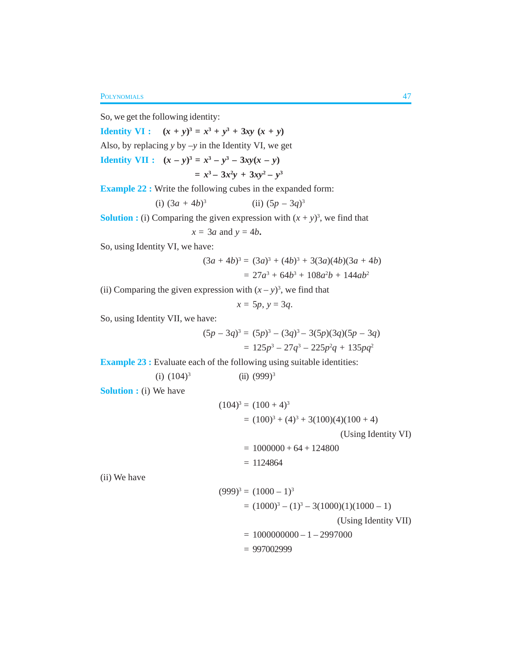So, we get the following identity:

**Identity VI :**  $(x + y)^3 = x^3 + y^3 + 3xy(x + y)$ Also, by replacing *y* by –*y* in the Identity VI, we get

**Identity VII :**  $(x - y)^3 = x^3 - y^3 - 3xy(x - y)$ 

$$
= x^3 - 3x^2y + 3xy^2 - y^3
$$

**Example 22 : Write the following cubes in the expanded form:** 

(i) 
$$
(3a + 4b)^3
$$
 (ii)  $(5p - 3q)^3$ 

**Solution :** (i) Comparing the given expression with  $(x + y)^3$ , we find that

$$
x = 3a \text{ and } y = 4b.
$$

So, using Identity VI, we have:

$$
(3a + 4b)3 = (3a)3 + (4b)3 + 3(3a)(4b)(3a + 4b)
$$
  
= 27a<sup>3</sup> + 64b<sup>3</sup> + 108a<sup>2</sup>b + 144ab<sup>2</sup>

(ii) Comparing the given expression with  $(x - y)^3$ , we find that

$$
x=5p, y=3q.
$$

So, using Identity VII, we have:

$$
(5p - 3q)^3 = (5p)^3 - (3q)^3 - 3(5p)(3q)(5p - 3q)
$$
  
= 125p<sup>3</sup> - 27q<sup>3</sup> - 225p<sup>2</sup>q + 135pq<sup>2</sup>

**Example 23 :** Evaluate each of the following using suitable identities:

(i) 
$$
(104)^3
$$
 (ii)  $(999)^3$ 

**Solution :** (i) We have

$$
(104)3 = (100 + 4)3
$$
  
= (100)<sup>3</sup> + (4)<sup>3</sup> + 3(100)(4)(100 + 4)  
(Using Identity VI)  
= 1000000 + 64 + 124800

$$
= 1124864
$$

(ii) We have

$$
(999)3 = (1000 - 1)3
$$
  
= (1000)<sup>3</sup> - (1)<sup>3</sup> - 3(1000)(1)(1000 - 1)  
(Using Identity VII)  
= 1000000000 - 1 - 2997000  
= 997002999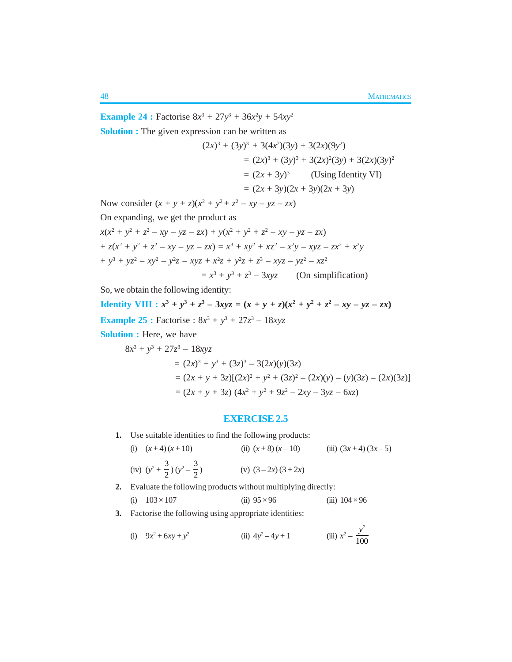**Example 24 :** Factorise  $8x^3 + 27y^3 + 36x^2y + 54xy^2$ 

(2*x*)3

+ (3*y*)

**Solution :** The given expression can be written as

$$
(2x)^3 + (3y)^3 + 3(4x^2)(3y) + 3(2x)(9y^2)
$$
  
=  $(2x)^3 + (3y)^3 + 3(2x)^2(3y) + 3(2x)(3y)^2$   
=  $(2x + 3y)^3$  (Using Identity VI)  
=  $(2x + 3y)(2x + 3y)(2x + 3y)$ 

Now consider  $(x + y + z)(x^2 + y^2 + z^2 - xy - yz - zx)$ 

On expanding, we get the product as

$$
x(x^{2} + y^{2} + z^{2} - xy - yz - zx) + y(x^{2} + y^{2} + z^{2} - xy - yz - zx)
$$
  
+ 
$$
z(x^{2} + y^{2} + z^{2} - xy - yz - zx) = x^{3} + xy^{2} + xz^{2} - x^{2}y - xyz - zx^{2} + x^{2}y
$$
  
+ 
$$
y^{3} + yz^{2} - xy^{2} - y^{2}z - xyz + x^{2}z + y^{2}z + z^{3} - xyz - yz^{2} - xz^{2}
$$
  
= 
$$
x^{3} + y^{3} + z^{3} - 3xyz
$$
 (On simplification)

So, we obtain the following identity:

Identity VIII : 
$$
x^3 + y^3 + z^3 - 3xyz = (x + y + z)(x^2 + y^2 + z^2 - xy - yz - zx)
$$

**Example 25 :** Factorise :  $8x^3 + y^3 + 27z^3 - 18xyz$ 

**Solution :** Here, we have

$$
8x3 + y3 + 27z3 - 18xyz
$$
  
= (2x)<sup>3</sup> + y<sup>3</sup> + (3z)<sup>3</sup> - 3(2x)(y)(3z)  
= (2x + y + 3z)[(2x)<sup>2</sup> + y<sup>2</sup> + (3z)<sup>2</sup> - (2x)(y) - (y)(3z) - (2x)(3z)]  
= (2x + y + 3z) (4x<sup>2</sup> + y<sup>2</sup> + 9z<sup>2</sup> - 2xy - 3yz - 6xz)

# **EXERCISE 2.5**

**1.** Use suitable identities to find the following products:

(i) 
$$
(x+4)(x+10)
$$
  
\n(ii)  $(x+8)(x-10)$   
\n(iii)  $(3x+4)(3x-5)$   
\n(iv)  $(y^2 + \frac{3}{2})(y^2 - \frac{3}{2})$   
\n(v)  $(3-2x)(3+2x)$ 

**2.** Evaluate the following products without multiplying directly:

(i) 
$$
103 \times 107
$$
 (ii)  $95 \times 96$  (iii)  $104 \times 96$ 

- **3.** Factorise the following using appropriate identities:
	- (i)  $9x^2 + 6xy + y^2$  (ii)  $4y^2 4y + 1$  (iii)  $x^2 -$ 2 100 *y*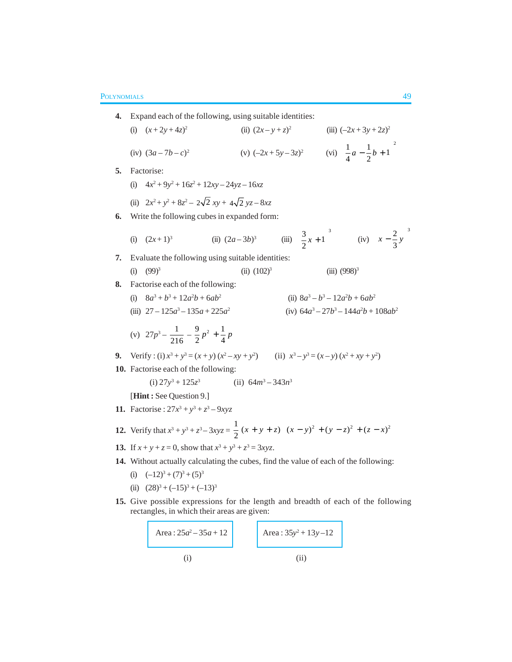4. Expand each of the following, using suitable identities:  
\n(i) 
$$
(x+2y+4z)^2
$$
 (ii)  $(2x-y+z)^2$  (iii)  $(-2x+3y+2z)^2$   
\n(iv)  $(3a-7b-c)^2$  (v)  $(-2x+5y-3z)^2$  (vi)  $\left[\frac{1}{4}a-\frac{1}{2}b+1\right]^2$   
\n5. Factorise:  
\n(i)  $4x^2+9y^2+16z^2+12xy-24yz-16xz$   
\n(ii)  $2x^2+y^2+8z^2-2\sqrt{2}xy+4\sqrt{2}yz-8xz$   
\n6. Write the following cubes in expanded form:  
\n(i)  $(2x+1)^3$  (ii)  $(2a-3b)^3$  (iii)  $\left[\frac{3}{2}x+1\right]^3$  (iv)  $\left[x-\frac{2}{3}y\right]^3$   
\n7. Evaluate the following using suitable identities:  
\n(i) (99)<sup>3</sup> (ii)  $(102)^3$  (iii) (998)<sup>3</sup>  
\n8. Factorise each of the following:  
\n(i)  $8a^3+b^3+12a^2b+6ab^2$  (ii)  $8a^3-b^3-12a^2b+6ab^2$   
\n(iii)  $27-125a^3-135a+225a^2$  (iv)  $64a^3-27b^3-144a^2b+108ab^2$   
\n(v)  $27p^3-\frac{1}{216}-\frac{9}{2}p^2+\frac{1}{4}p$   
\n9. Verify: (i)  $x^3+y^3=(x+y)(x^2-xy+y^2)$  (ii)  $x^3-y^3=(x-y)(x^2+xy+y^2)$   
\n10. Factorise each of the following:  
\n(i)  $27y^3+125z^3$  (ii)  $64m^3-343n^3$   
\n[Hint: See Question 9.]  
\n11. Factorise:  $27x^3+y^3+z^3-3xyz=\frac{1}{2}(x+y+z) \left[(x-y)^2+(y-z)^2+(z-x)^2\right]$   
\n13. If  $x+y+z=0$ , show that  $x^$ 

Area: 
$$
25a^2 - 35a + 12
$$
  
(i) (ii)